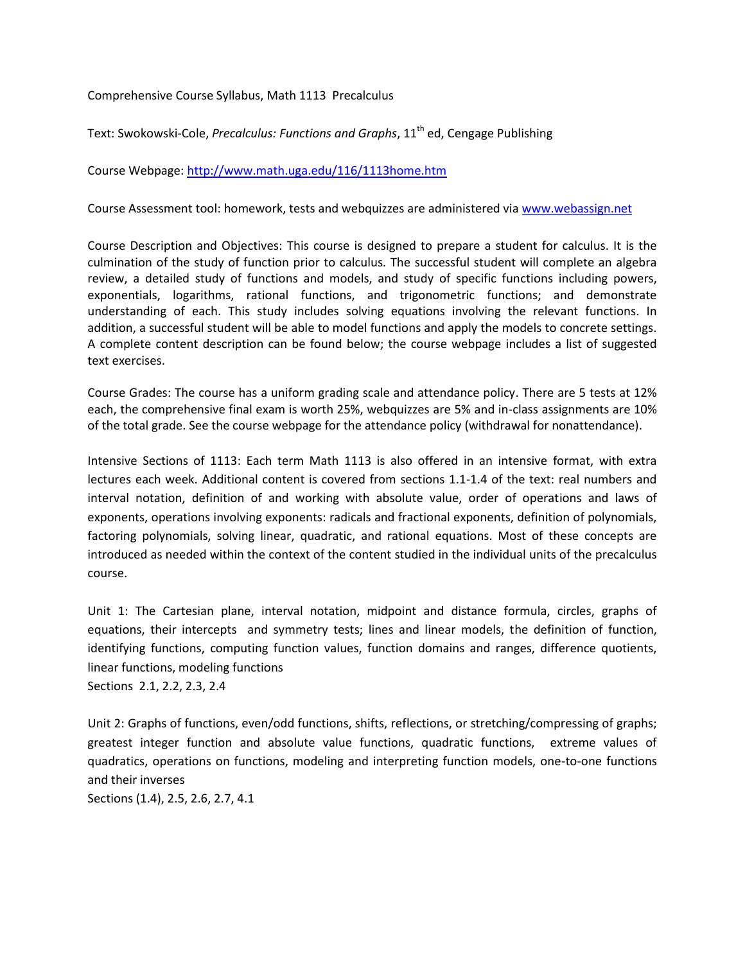Comprehensive Course Syllabus, Math 1113 Precalculus

Text: Swokowski-Cole, *Precalculus: Functions and Graphs*, 11<sup>th</sup> ed, Cengage Publishing

Course Webpage[: http://www.math.uga.edu/116/1113home.htm](http://www.math.uga.edu/116/1113home.htm)

Course Assessment tool: homework, tests and webquizzes are administered via [www.webassign.net](http://www.webassign.net/)

Course Description and Objectives: This course is designed to prepare a student for calculus. It is the culmination of the study of function prior to calculus. The successful student will complete an algebra review, a detailed study of functions and models, and study of specific functions including powers, exponentials, logarithms, rational functions, and trigonometric functions; and demonstrate understanding of each. This study includes solving equations involving the relevant functions. In addition, a successful student will be able to model functions and apply the models to concrete settings. A complete content description can be found below; the course webpage includes a list of suggested text exercises.

Course Grades: The course has a uniform grading scale and attendance policy. There are 5 tests at 12% each, the comprehensive final exam is worth 25%, webquizzes are 5% and in-class assignments are 10% of the total grade. See the course webpage for the attendance policy (withdrawal for nonattendance).

Intensive Sections of 1113: Each term Math 1113 is also offered in an intensive format, with extra lectures each week. Additional content is covered from sections 1.1-1.4 of the text: real numbers and interval notation, definition of and working with absolute value, order of operations and laws of exponents, operations involving exponents: radicals and fractional exponents, definition of polynomials, factoring polynomials, solving linear, quadratic, and rational equations. Most of these concepts are introduced as needed within the context of the content studied in the individual units of the precalculus course.

Unit 1: The Cartesian plane, interval notation, midpoint and distance formula, circles, graphs of equations, their intercepts and symmetry tests; lines and linear models, the definition of function, identifying functions, computing function values, function domains and ranges, difference quotients, linear functions, modeling functions Sections 2.1, 2.2, 2.3, 2.4

Unit 2: Graphs of functions, even/odd functions, shifts, reflections, or stretching/compressing of graphs; greatest integer function and absolute value functions, quadratic functions, extreme values of quadratics, operations on functions, modeling and interpreting function models, one-to-one functions and their inverses

Sections (1.4), 2.5, 2.6, 2.7, 4.1